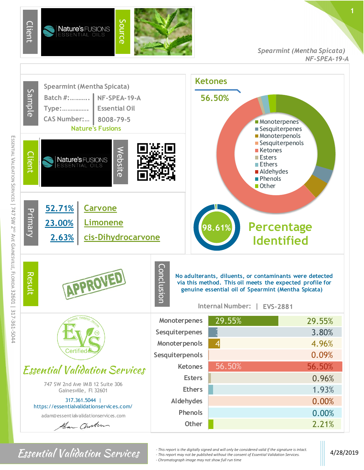

*Spearmint (Mentha Spicata) NF-SPEA-19-A*



*For Sential Validation Services*  $\cdot$  <sup>*- This report is the digitally signed and will only be considered valid if the signature is intact.* 4/28/2019</sup> *- This report may not be published without the consent of Essential Validation Services. - Chromatograph image may not show full run time*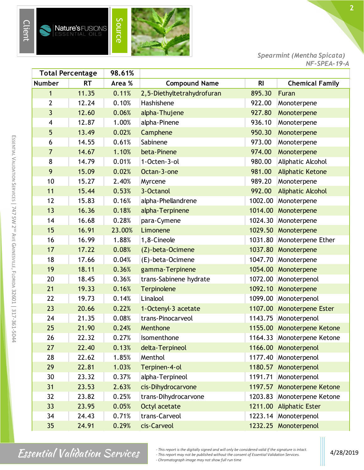

s

**Nature's FUSIONS**<br>ESSENTIAL OILS

Source



*Spearmint (Mentha Spicata) NF-SPEA-19-A*

| <b>Total Percentage</b> |           | 98.61% |                            |                |                            |
|-------------------------|-----------|--------|----------------------------|----------------|----------------------------|
| <b>Number</b>           | <b>RT</b> | Area % | <b>Compound Name</b>       | R <sub>l</sub> | <b>Chemical Family</b>     |
| $\mathbf{1}$            | 11.35     | 0.11%  | 2,5-Diethyltetrahydrofuran | 895.30         | Furan                      |
| 2                       | 12.24     | 0.10%  | Hashishene                 | 922.00         | Monoterpene                |
| 3                       | 12.60     | 0.06%  | alpha-Thujene              | 927.80         | Monoterpene                |
| 4                       | 12.87     | 1.00%  | alpha-Pinene               | 936.10         | Monoterpene                |
| 5                       | 13.49     | 0.02%  | Camphene                   | 950.30         | Monoterpene                |
| 6                       | 14.55     | 0.61%  | Sabinene                   | 973.00         | Monoterpene                |
| $\overline{7}$          | 14.67     | 1.10%  | beta-Pinene                | 974.00         | Monoterpene                |
| 8                       | 14.79     | 0.01%  | 1-Octen-3-ol               | 980.00         | Aliphatic Alcohol          |
| 9                       | 15.09     | 0.02%  | Octan-3-one                | 981.00         | <b>Aliphatic Ketone</b>    |
| 10                      | 15.27     | 2.40%  | Myrcene                    | 989.20         | Monoterpene                |
| 11                      | 15.44     | 0.53%  | 3-Octanol                  | 992.00         | <b>Aliphatic Alcohol</b>   |
| 12                      | 15.83     | 0.16%  | alpha-Phellandrene         | 1002.00        | Monoterpene                |
| 13                      | 16.36     | 0.18%  | alpha-Terpinene            | 1014.00        | Monoterpene                |
| 14                      | 16.68     | 0.28%  | para-Cymene                | 1024.30        | Monoterpene                |
| 15                      | 16.91     | 23.00% | Limonene                   | 1029.50        | Monoterpene                |
| 16                      | 16.99     | 1.88%  | 1,8-Cineole                | 1031.80        | Monoterpene Ether          |
| 17                      | 17.22     | 0.08%  | (Z)-beta-Ocimene           | 1037.80        | Monoterpene                |
| 18                      | 17.66     | 0.04%  | (E)-beta-Ocimene           | 1047.70        | Monoterpene                |
| 19                      | 18.11     | 0.36%  | gamma-Terpinene            | 1054.00        | Monoterpene                |
| 20                      | 18.45     | 0.36%  | trans-Sabinene hydrate     | 1072.00        | Monoterpenol               |
| 21                      | 19.33     | 0.16%  | Terpinolene                | 1092.10        | Monoterpene                |
| 22                      | 19.73     | 0.14%  | Linalool                   | 1099.00        | Monoterpenol               |
| 23                      | 20.66     | 0.22%  | 1-Octenyl-3 acetate        | 1107.00        | Monoterpene Ester          |
| 24                      | 21.35     | 0.08%  | trans-Pinocarveol          | 1143.75        | Monoterpenol               |
| 25                      | 21.90     | 0.24%  | Menthone                   |                | 1155.00 Monoterpene Ketone |
| 26                      | 22.32     | 0.27%  | Isomenthone                |                | 1164.33 Monoterpene Ketone |
| 27                      | 22.40     | 0.13%  | delta-Terpineol            | 1166.00        | Monoterpenol               |
| 28                      | 22.62     | 1.85%  | Menthol                    | 1177.40        | Monoterpenol               |
| 29                      | 22.81     | 1.03%  | Terpinen-4-ol              |                | 1180.57 Monoterpenol       |
| 30                      | 23.32     | 0.37%  | alpha-Terpineol            | 1191.71        | Monoterpenol               |
| 31                      | 23.53     | 2.63%  | cis-Dihydrocarvone         | 1197.57        | <b>Monoterpene Ketone</b>  |
| 32                      | 23.82     | 0.25%  | trans-Dihydrocarvone       | 1203.83        | Monoterpene Ketone         |
| 33                      | 23.95     | 0.05%  | Octyl acetate              |                | 1211.00 Aliphatic Ester    |
| 34                      | 24.43     | 0.71%  | trans-Carveol              |                | 1223.14 Monoterpenol       |
| 35                      | 24.91     | 0.29%  | cis-Carveol                |                | 1232.25 Monoterpenol       |

*Finis report is the digitally signed and will only be considered valid if the signature is intact.*<br> *Allightantique Services* 4/28/2019<br> *Changebout mage way not be published without the consent of Essential Validation S - This report may not be published without the consent of Essential Validation Services. - Chromatograph image may not show full run time*